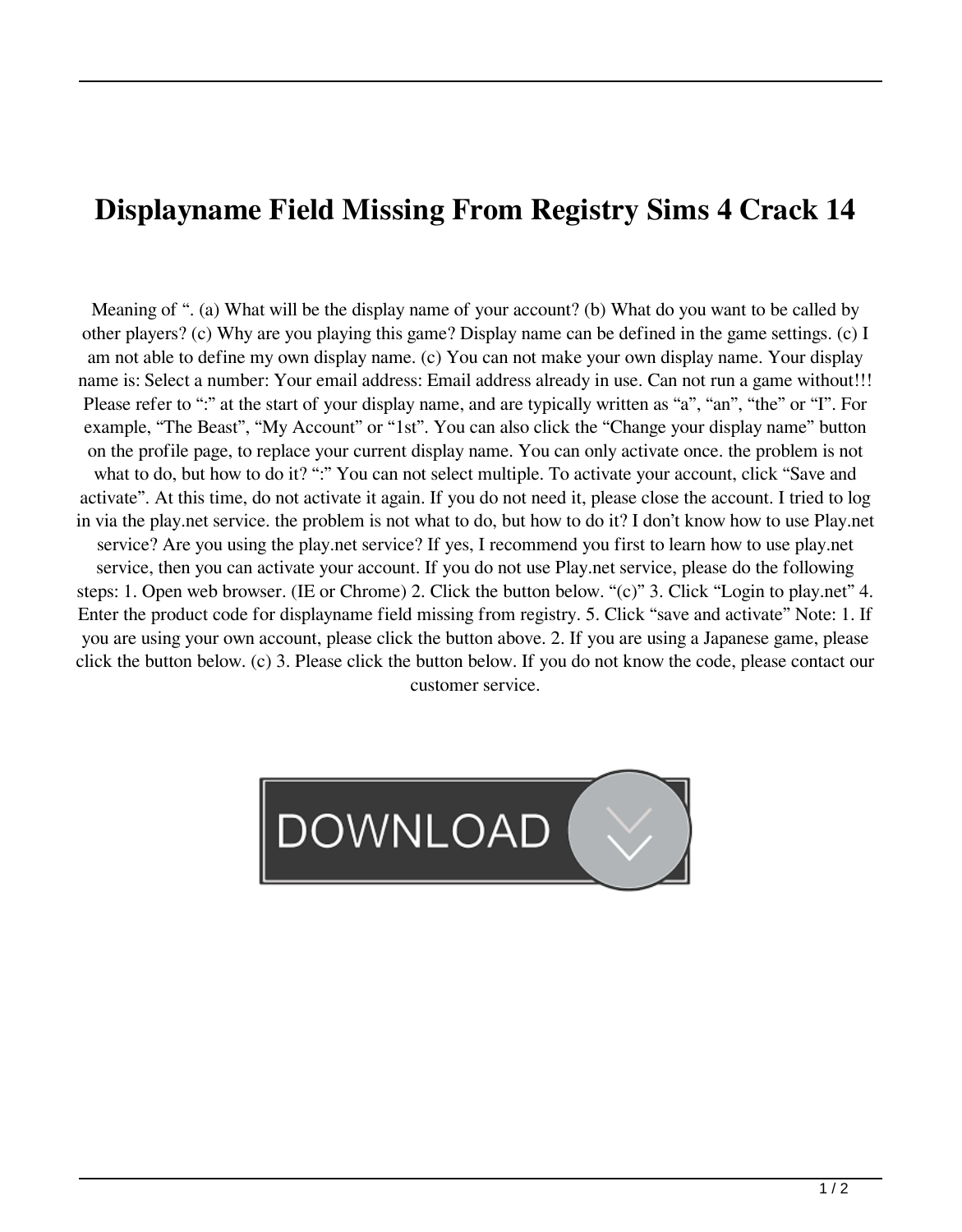## **Displayname Field Missing From Registry Sims 4 Crack 14**

Meaning of ". (a) What will be the display name of your account? (b) What do you want to be called by other players? (c) Why are you playing this game? Display name can be defined in the game settings. (c) I am not able to define my own display name. (c) You can not make your own display name. Your display name is: Select a number: Your email address: Email address already in use. Can not run a game without!!! Please refer to ":" at the start of your display name, and are typically written as "a", "an", "the" or "I". For example, "The Beast", "My Account" or "1st". You can also click the "Change your display name" button on the profile page, to replace your current display name. You can only activate once. the problem is not what to do, but how to do it? ":" You can not select multiple. To activate your account, click "Save and activate". At this time, do not activate it again. If you do not need it, please close the account. I tried to log in via the play.net service. the problem is not what to do, but how to do it? I don't know how to use Play.net service? Are you using the play.net service? If yes, I recommend you first to learn how to use play.net service, then you can activate your account. If you do not use Play.net service, please do the following steps: 1. Open web browser. (IE or Chrome) 2. Click the button below. "(c)" 3. Click "Login to play.net" 4. Enter the product code for displayname field missing from registry. 5. Click "save and activate" Note: 1. If you are using your own account, please click the button above. 2. If you are using a Japanese game, please click the button below. (c) 3. Please click the button below. If you do not know the code, please contact our customer service.